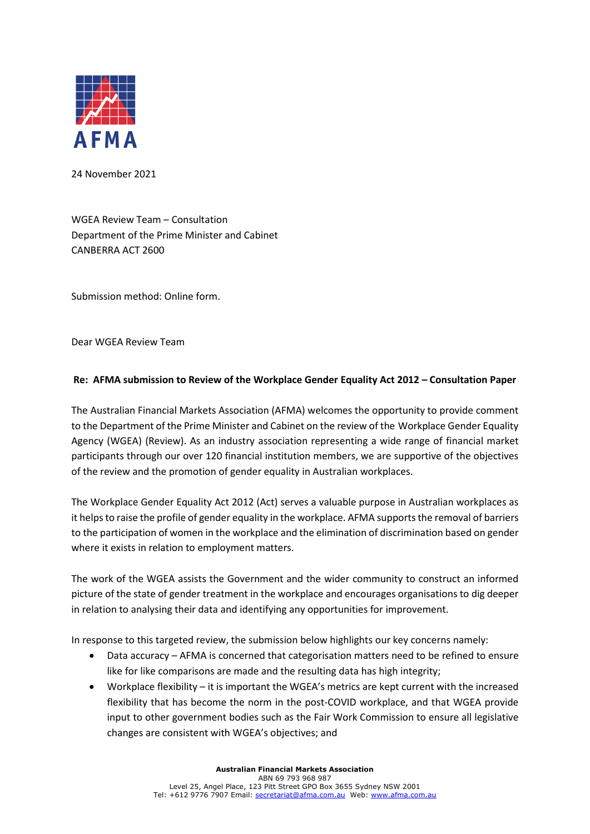

24 November 2021

WGEA Review Team – Consultation Department of the Prime Minister and Cabinet CANBERRA ACT 2600

Submission method: Online form.

Dear WGEA Review Team

# **Re: AFMA submission to Review of the Workplace Gender Equality Act 2012 – Consultation Paper**

The Australian Financial Markets Association (AFMA) welcomes the opportunity to provide comment to the Department of the Prime Minister and Cabinet on the review of the Workplace Gender Equality Agency (WGEA) (Review). As an industry association representing a wide range of financial market participants through our over 120 financial institution members, we are supportive of the objectives of the review and the promotion of gender equality in Australian workplaces.

The Workplace Gender Equality Act 2012 (Act) serves a valuable purpose in Australian workplaces as it helps to raise the profile of gender equality in the workplace. AFMA supports the removal of barriers to the participation of women in the workplace and the elimination of discrimination based on gender where it exists in relation to employment matters.

The work of the WGEA assists the Government and the wider community to construct an informed picture of the state of gender treatment in the workplace and encourages organisations to dig deeper in relation to analysing their data and identifying any opportunities for improvement.

In response to this targeted review, the submission below highlights our key concerns namely:

- Data accuracy AFMA is concerned that categorisation matters need to be refined to ensure like for like comparisons are made and the resulting data has high integrity;
- Workplace flexibility it is important the WGEA's metrics are kept current with the increased flexibility that has become the norm in the post-COVID workplace, and that WGEA provide input to other government bodies such as the Fair Work Commission to ensure all legislative changes are consistent with WGEA's objectives; and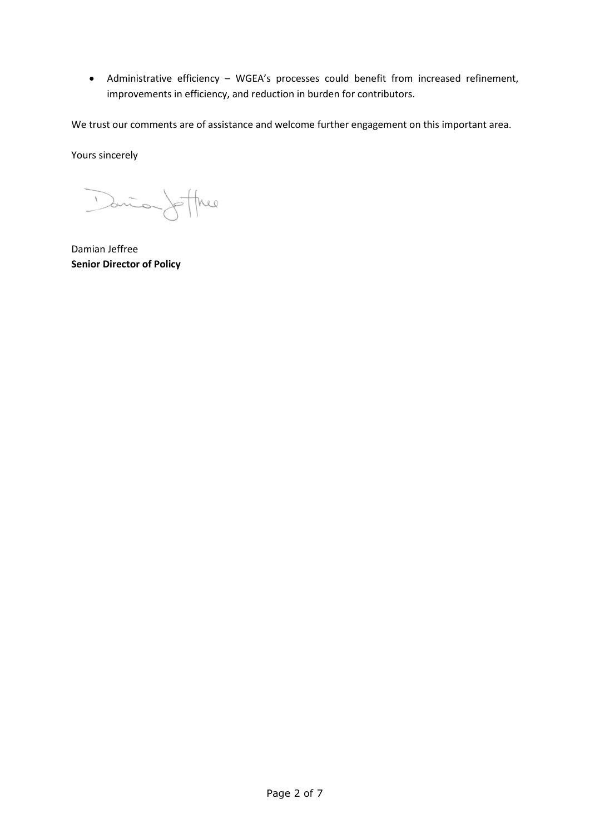• Administrative efficiency – WGEA's processes could benefit from increased refinement, improvements in efficiency, and reduction in burden for contributors.

We trust our comments are of assistance and welcome further engagement on this important area.

Yours sincerely

Dania Jeffree

Damian Jeffree **Senior Director of Policy**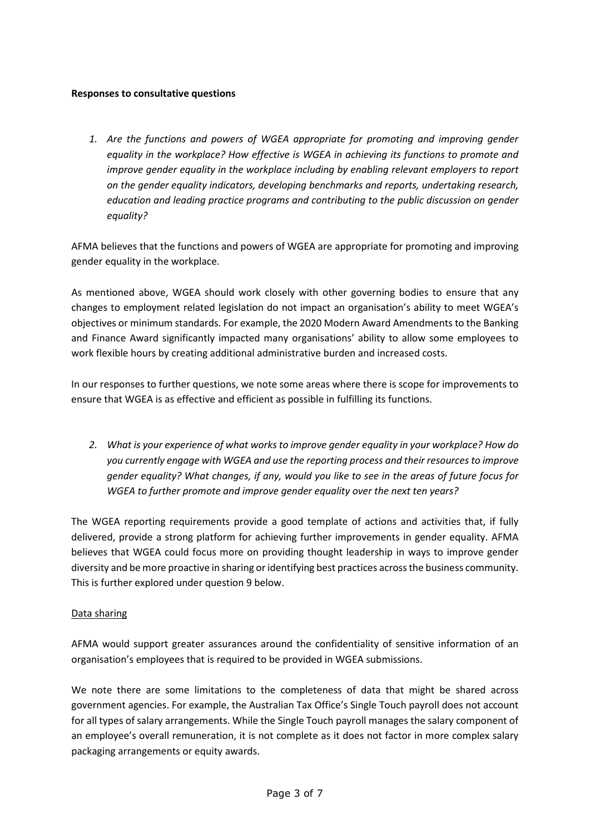## **Responses to consultative questions**

*1. Are the functions and powers of WGEA appropriate for promoting and improving gender equality in the workplace? How effective is WGEA in achieving its functions to promote and improve gender equality in the workplace including by enabling relevant employers to report on the gender equality indicators, developing benchmarks and reports, undertaking research, education and leading practice programs and contributing to the public discussion on gender equality?*

AFMA believes that the functions and powers of WGEA are appropriate for promoting and improving gender equality in the workplace.

As mentioned above, WGEA should work closely with other governing bodies to ensure that any changes to employment related legislation do not impact an organisation's ability to meet WGEA's objectives or minimum standards. For example, the 2020 Modern Award Amendments to the Banking and Finance Award significantly impacted many organisations' ability to allow some employees to work flexible hours by creating additional administrative burden and increased costs.

In our responses to further questions, we note some areas where there is scope for improvements to ensure that WGEA is as effective and efficient as possible in fulfilling its functions.

*2. What is your experience of what works to improve gender equality in your workplace? How do you currently engage with WGEA and use the reporting process and their resources to improve gender equality? What changes, if any, would you like to see in the areas of future focus for WGEA to further promote and improve gender equality over the next ten years?*

The WGEA reporting requirements provide a good template of actions and activities that, if fully delivered, provide a strong platform for achieving further improvements in gender equality. AFMA believes that WGEA could focus more on providing thought leadership in ways to improve gender diversity and be more proactive in sharing or identifying best practices across the business community. This is further explored under question 9 below.

# Data sharing

AFMA would support greater assurances around the confidentiality of sensitive information of an organisation's employees that is required to be provided in WGEA submissions.

We note there are some limitations to the completeness of data that might be shared across government agencies. For example, the Australian Tax Office's Single Touch payroll does not account for all types of salary arrangements. While the Single Touch payroll manages the salary component of an employee's overall remuneration, it is not complete as it does not factor in more complex salary packaging arrangements or equity awards.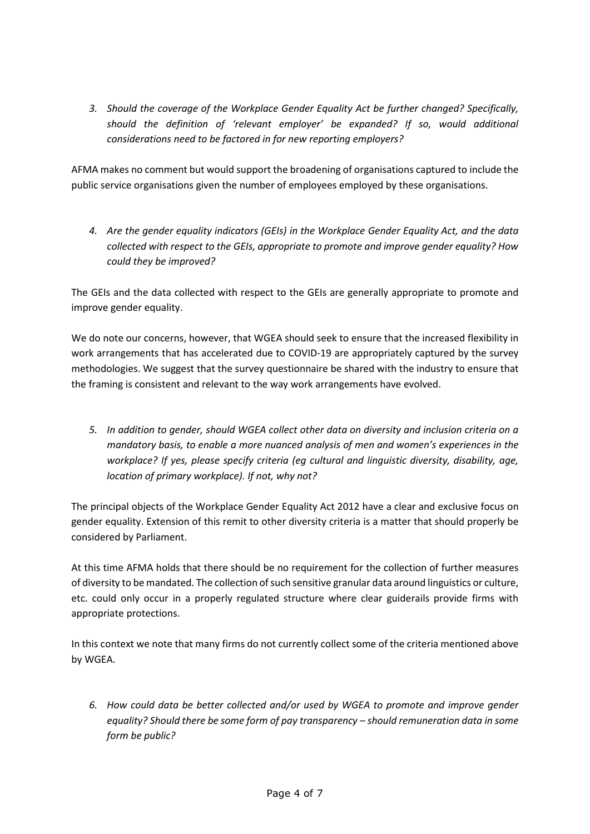*3. Should the coverage of the Workplace Gender Equality Act be further changed? Specifically, should the definition of 'relevant employer' be expanded? If so, would additional considerations need to be factored in for new reporting employers?*

AFMA makes no comment but would support the broadening of organisations captured to include the public service organisations given the number of employees employed by these organisations.

*4. Are the gender equality indicators (GEIs) in the Workplace Gender Equality Act, and the data collected with respect to the GEIs, appropriate to promote and improve gender equality? How could they be improved?*

The GEIs and the data collected with respect to the GEIs are generally appropriate to promote and improve gender equality.

We do note our concerns, however, that WGEA should seek to ensure that the increased flexibility in work arrangements that has accelerated due to COVID-19 are appropriately captured by the survey methodologies. We suggest that the survey questionnaire be shared with the industry to ensure that the framing is consistent and relevant to the way work arrangements have evolved.

*5. In addition to gender, should WGEA collect other data on diversity and inclusion criteria on a mandatory basis, to enable a more nuanced analysis of men and women's experiences in the workplace? If yes, please specify criteria (eg cultural and linguistic diversity, disability, age, location of primary workplace). If not, why not?*

The principal objects of the Workplace Gender Equality Act 2012 have a clear and exclusive focus on gender equality. Extension of this remit to other diversity criteria is a matter that should properly be considered by Parliament.

At this time AFMA holds that there should be no requirement for the collection of further measures of diversity to be mandated. The collection ofsuch sensitive granular data around linguistics or culture, etc. could only occur in a properly regulated structure where clear guiderails provide firms with appropriate protections.

In this context we note that many firms do not currently collect some of the criteria mentioned above by WGEA.

*6. How could data be better collected and/or used by WGEA to promote and improve gender equality? Should there be some form of pay transparency – should remuneration data in some form be public?*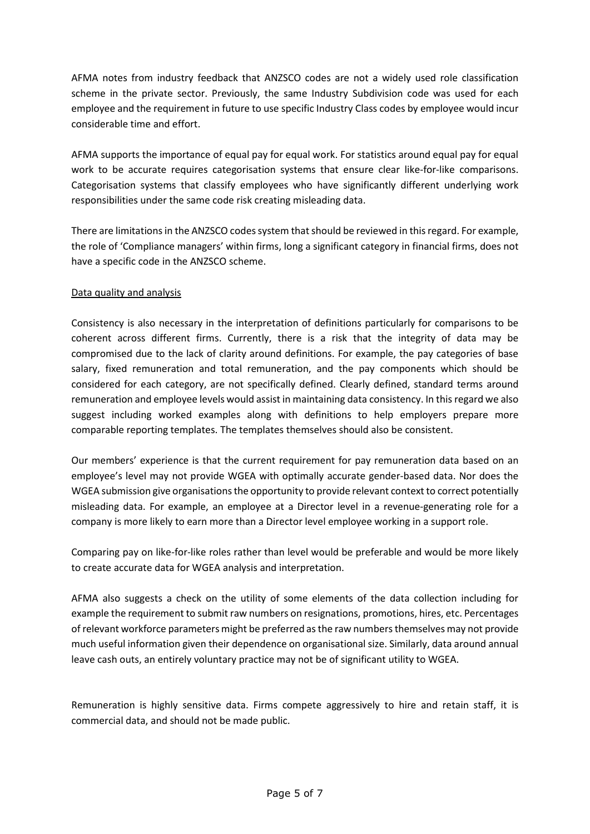AFMA notes from industry feedback that ANZSCO codes are not a widely used role classification scheme in the private sector. Previously, the same Industry Subdivision code was used for each employee and the requirement in future to use specific Industry Class codes by employee would incur considerable time and effort.

AFMA supports the importance of equal pay for equal work. For statistics around equal pay for equal work to be accurate requires categorisation systems that ensure clear like-for-like comparisons. Categorisation systems that classify employees who have significantly different underlying work responsibilities under the same code risk creating misleading data.

There are limitations in the ANZSCO codes system that should be reviewed in this regard. For example, the role of 'Compliance managers' within firms, long a significant category in financial firms, does not have a specific code in the ANZSCO scheme.

# Data quality and analysis

Consistency is also necessary in the interpretation of definitions particularly for comparisons to be coherent across different firms. Currently, there is a risk that the integrity of data may be compromised due to the lack of clarity around definitions. For example, the pay categories of base salary, fixed remuneration and total remuneration, and the pay components which should be considered for each category, are not specifically defined. Clearly defined, standard terms around remuneration and employee levels would assist in maintaining data consistency. In this regard we also suggest including worked examples along with definitions to help employers prepare more comparable reporting templates. The templates themselves should also be consistent.

Our members' experience is that the current requirement for pay remuneration data based on an employee's level may not provide WGEA with optimally accurate gender-based data. Nor does the WGEA submission give organisations the opportunity to provide relevant context to correct potentially misleading data. For example, an employee at a Director level in a revenue-generating role for a company is more likely to earn more than a Director level employee working in a support role.

Comparing pay on like-for-like roles rather than level would be preferable and would be more likely to create accurate data for WGEA analysis and interpretation.

AFMA also suggests a check on the utility of some elements of the data collection including for example the requirement to submit raw numbers on resignations, promotions, hires, etc. Percentages of relevant workforce parameters might be preferred as the raw numbers themselves may not provide much useful information given their dependence on organisational size. Similarly, data around annual leave cash outs, an entirely voluntary practice may not be of significant utility to WGEA.

Remuneration is highly sensitive data. Firms compete aggressively to hire and retain staff, it is commercial data, and should not be made public.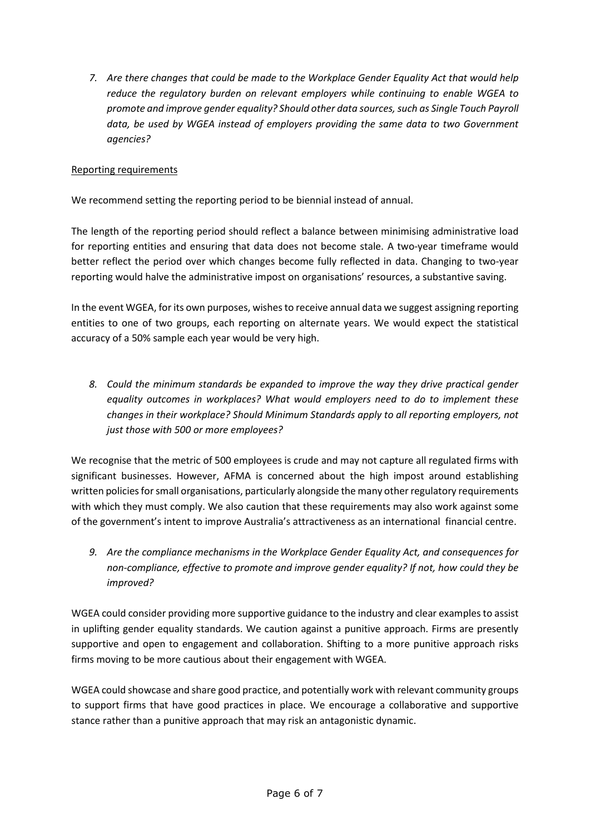*7. Are there changes that could be made to the Workplace Gender Equality Act that would help reduce the regulatory burden on relevant employers while continuing to enable WGEA to promote and improve gender equality? Should other data sources, such as Single Touch Payroll data, be used by WGEA instead of employers providing the same data to two Government agencies?*

# Reporting requirements

We recommend setting the reporting period to be biennial instead of annual.

The length of the reporting period should reflect a balance between minimising administrative load for reporting entities and ensuring that data does not become stale. A two-year timeframe would better reflect the period over which changes become fully reflected in data. Changing to two-year reporting would halve the administrative impost on organisations' resources, a substantive saving.

In the event WGEA, for its own purposes, wishes to receive annual data we suggest assigning reporting entities to one of two groups, each reporting on alternate years. We would expect the statistical accuracy of a 50% sample each year would be very high.

*8. Could the minimum standards be expanded to improve the way they drive practical gender equality outcomes in workplaces? What would employers need to do to implement these changes in their workplace? Should Minimum Standards apply to all reporting employers, not just those with 500 or more employees?*

We recognise that the metric of 500 employees is crude and may not capture all regulated firms with significant businesses. However, AFMA is concerned about the high impost around establishing written policies for small organisations, particularly alongside the many other regulatory requirements with which they must comply. We also caution that these requirements may also work against some of the government's intent to improve Australia's attractiveness as an international financial centre.

*9. Are the compliance mechanisms in the Workplace Gender Equality Act, and consequences for non-compliance, effective to promote and improve gender equality? If not, how could they be improved?*

WGEA could consider providing more supportive guidance to the industry and clear examples to assist in uplifting gender equality standards. We caution against a punitive approach. Firms are presently supportive and open to engagement and collaboration. Shifting to a more punitive approach risks firms moving to be more cautious about their engagement with WGEA.

WGEA could showcase and share good practice, and potentially work with relevant community groups to support firms that have good practices in place. We encourage a collaborative and supportive stance rather than a punitive approach that may risk an antagonistic dynamic.